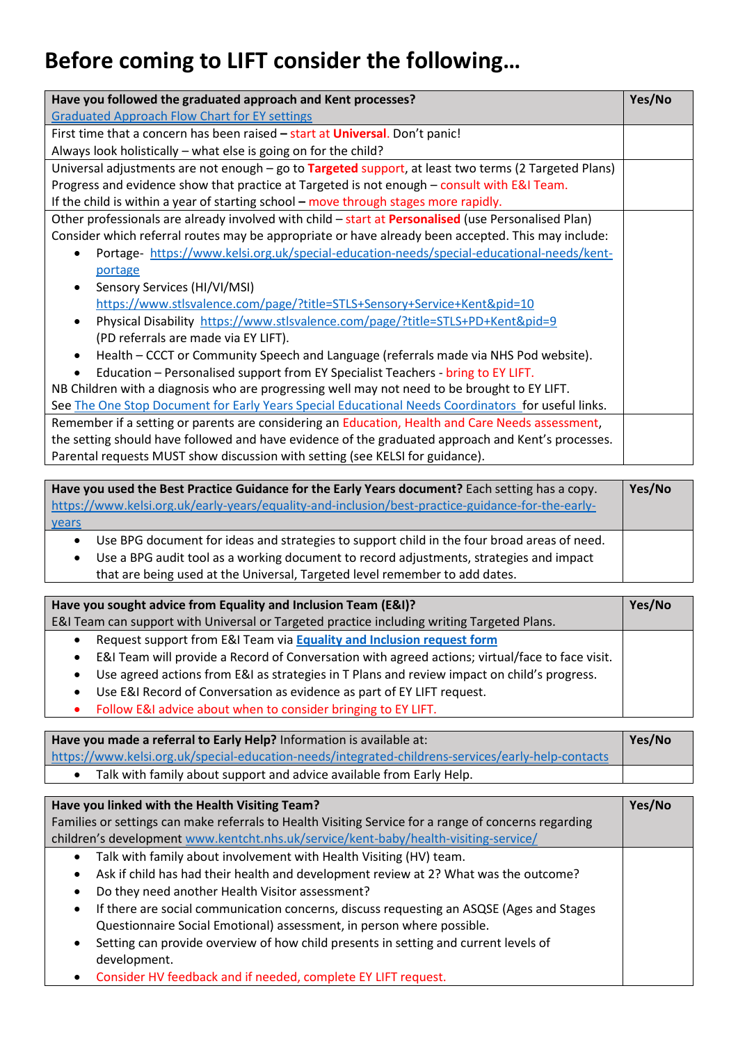## **Before coming to LIFT consider the following…**

| Have you followed the graduated approach and Kent processes?                                         | Yes/No |
|------------------------------------------------------------------------------------------------------|--------|
| <b>Graduated Approach Flow Chart for EY settings</b>                                                 |        |
| First time that a concern has been raised - start at Universal. Don't panic!                         |        |
| Always look holistically - what else is going on for the child?                                      |        |
| Universal adjustments are not enough - go to Targeted support, at least two terms (2 Targeted Plans) |        |
| Progress and evidence show that practice at Targeted is not enough - consult with E&I Team.          |        |
| If the child is within a year of starting school – move through stages more rapidly.                 |        |
| Other professionals are already involved with child - start at Personalised (use Personalised Plan)  |        |
| Consider which referral routes may be appropriate or have already been accepted. This may include:   |        |
| Portage-https://www.kelsi.org.uk/special-education-needs/special-educational-needs/kent-             |        |
| portage                                                                                              |        |
| Sensory Services (HI/VI/MSI)                                                                         |        |
| https://www.stlsvalence.com/page/?title=STLS+Sensory+Service+Kent&pid=10                             |        |
| Physical Disability https://www.stlsvalence.com/page/?title=STLS+PD+Kent&pid=9<br>$\bullet$          |        |
| (PD referrals are made via EY LIFT).                                                                 |        |
| Health – CCCT or Community Speech and Language (referrals made via NHS Pod website).<br>$\bullet$    |        |
| Education - Personalised support from EY Specialist Teachers - bring to EY LIFT.                     |        |
| NB Children with a diagnosis who are progressing well may not need to be brought to EY LIFT.         |        |
| See The One Stop Document for Early Years Special Educational Needs Coordinators for useful links.   |        |
| Remember if a setting or parents are considering an Education, Health and Care Needs assessment,     |        |
| the setting should have followed and have evidence of the graduated approach and Kent's processes.   |        |
| Parental requests MUST show discussion with setting (see KELSI for guidance).                        |        |

| Have you used the Best Practice Guidance for the Early Years document? Each setting has a copy.<br>https://www.kelsi.org.uk/early-years/equality-and-inclusion/best-practice-guidance-for-the-early-<br><u>years</u>                                                  | Yes/No |
|-----------------------------------------------------------------------------------------------------------------------------------------------------------------------------------------------------------------------------------------------------------------------|--------|
| Use BPG document for ideas and strategies to support child in the four broad areas of need.<br>Use a BPG audit tool as a working document to record adjustments, strategies and impact<br>that are being used at the Universal, Targeted level remember to add dates. |        |

| Have you sought advice from Equality and Inclusion Team (E&I)?                                               | Yes/No |
|--------------------------------------------------------------------------------------------------------------|--------|
| E&I Team can support with Universal or Targeted practice including writing Targeted Plans.                   |        |
| Request support from E&I Team via Equality and Inclusion request form<br>$\bullet$                           |        |
| E&I Team will provide a Record of Conversation with agreed actions; virtual/face to face visit.<br>$\bullet$ |        |
| Use agreed actions from E&I as strategies in T Plans and review impact on child's progress.<br>$\bullet$     |        |
| • Use E&I Record of Conversation as evidence as part of EY LIFT request.                                     |        |
| • Follow E&I advice about when to consider bringing to EY LIFT.                                              |        |

| Have you made a referral to Early Help? Information is available at:                               | Yes/No |
|----------------------------------------------------------------------------------------------------|--------|
| https://www.kelsi.org.uk/special-education-needs/integrated-childrens-services/early-help-contacts |        |
| Talk with family about support and advice available from Early Help.                               |        |

| Have you linked with the Health Visiting Team?                                                                   | Yes/No |
|------------------------------------------------------------------------------------------------------------------|--------|
| Families or settings can make referrals to Health Visiting Service for a range of concerns regarding             |        |
| children's development www.kentcht.nhs.uk/service/kent-baby/health-visiting-service/                             |        |
| Talk with family about involvement with Health Visiting (HV) team.<br>$\bullet$                                  |        |
| Ask if child has had their health and development review at 2? What was the outcome?<br>$\bullet$                |        |
| Do they need another Health Visitor assessment?<br>$\bullet$                                                     |        |
| If there are social communication concerns, discuss requesting an ASQSE (Ages and Stages<br>$\bullet$            |        |
| Questionnaire Social Emotional) assessment, in person where possible.                                            |        |
| Setting can provide overview of how child presents in setting and current levels of<br>$\bullet$<br>development. |        |
|                                                                                                                  |        |

Consider HV feedback and if needed, complete EY LIFT request.